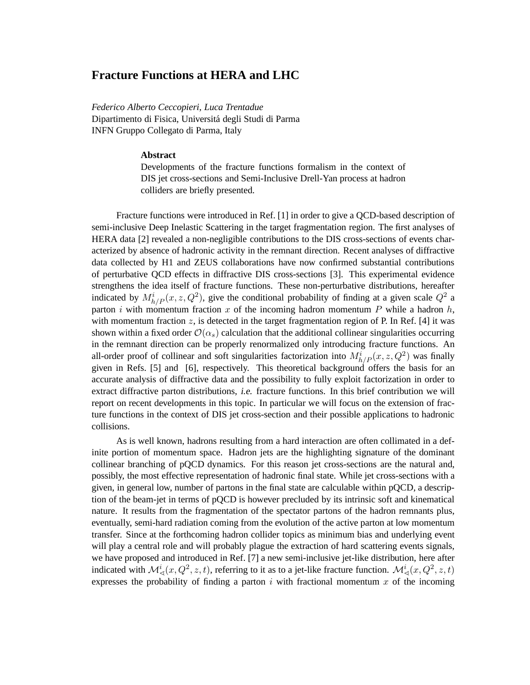## **Fracture Functions at HERA and LHC**

*Federico Alberto Ceccopieri, Luca Trentadue* Dipartimento di Fisica, Universitá degli Studi di Parma INFN Gruppo Collegato di Parma, Italy

## **Abstract**

Developments of the fracture functions formalism in the context of DIS jet cross-sections and Semi-Inclusive Drell-Yan process at hadron colliders are briefly presented.

Fracture functions were introduced in Ref. [1] in order to give a QCD-based description of semi-inclusive Deep Inelastic Scattering in the target fragmentation region. The first analyses of HERA data [2] revealed a non-negligible contributions to the DIS cross-sections of events characterized by absence of hadronic activity in the remnant direction. Recent analyses of diffractive data collected by H1 and ZEUS collaborations have now confirmed substantial contributions of perturbative QCD effects in diffractive DIS cross-sections [3]. This experimental evidence strengthens the idea itself of fracture functions. These non-perturbative distributions, hereafter indicated by  $M_{h/P}^i(x, z, Q^2)$ , give the conditional probability of finding at a given scale  $Q^2$  a parton i with momentum fraction x of the incoming hadron momentum P while a hadron  $h$ , with momentum fraction z, is detected in the target fragmentation region of P. In Ref. [4] it was shown within a fixed order  $\mathcal{O}(\alpha_s)$  calculation that the additional collinear singularities occurring in the remnant direction can be properly renormalized only introducing fracture functions. An all-order proof of collinear and soft singularities factorization into  $M_{h/P}^i(x, z, Q^2)$  was finally given in Refs. [5] and [6], respectively. This theoretical background offers the basis for an accurate analysis of diffractive data and the possibility to fully exploit factorization in order to extract diffractive parton distributions, i.e. fracture functions. In this brief contribution we will report on recent developments in this topic. In particular we will focus on the extension of fracture functions in the context of DIS jet cross-section and their possible applications to hadronic collisions.

As is well known, hadrons resulting from a hard interaction are often collimated in a definite portion of momentum space. Hadron jets are the highlighting signature of the dominant collinear branching of pQCD dynamics. For this reason jet cross-sections are the natural and, possibly, the most effective representation of hadronic final state. While jet cross-sections with a given, in general low, number of partons in the final state are calculable within pQCD, a description of the beam-jet in terms of pQCD is however precluded by its intrinsic soft and kinematical nature. It results from the fragmentation of the spectator partons of the hadron remnants plus, eventually, semi-hard radiation coming from the evolution of the active parton at low momentum transfer. Since at the forthcoming hadron collider topics as minimum bias and underlying event will play a central role and will probably plague the extraction of hard scattering events signals, we have proposed and introduced in Ref. [7] a new semi-inclusive jet-like distribution, here after indicated with  $\mathcal{M}_{\leq}(x, Q^2, z, t)$ , referring to it as to a jet-like fracture function.  $\mathcal{M}_{\leq}(x, Q^2, z, t)$ expresses the probability of finding a parton i with fractional momentum x of the incoming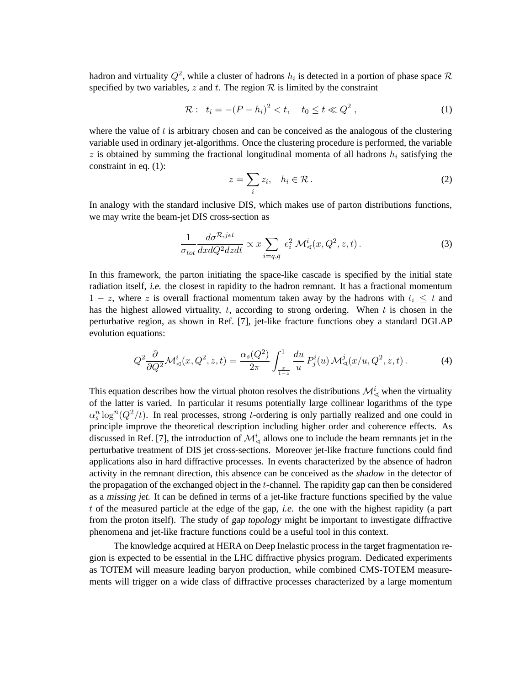hadron and virtuality  $Q^2$ , while a cluster of hadrons  $h_i$  is detected in a portion of phase space R specified by two variables, z and t. The region  $R$  is limited by the constraint

$$
\mathcal{R}: \ \ t_i = -(P - h_i)^2 < t, \quad t_0 \leq t \ll Q^2 \ , \tag{1}
$$

where the value of  $t$  is arbitrary chosen and can be conceived as the analogous of the clustering variable used in ordinary jet-algorithms. Once the clustering procedure is performed, the variable  $z$  is obtained by summing the fractional longitudinal momenta of all hadrons  $h_i$  satisfying the constraint in eq. (1):

$$
z = \sum_{i} z_i, \quad h_i \in \mathcal{R} \,. \tag{2}
$$

In analogy with the standard inclusive DIS, which makes use of parton distributions functions, we may write the beam-jet DIS cross-section as

$$
\frac{1}{\sigma_{tot}} \frac{d\sigma^{\mathcal{R}, jet}}{dx dQ^2 dz dt} \propto x \sum_{i=q,\bar{q}} e_i^2 \mathcal{M}^i_{\prec}(x, Q^2, z, t).
$$
 (3)

In this framework, the parton initiating the space-like cascade is specified by the initial state radiation itself, i.e. the closest in rapidity to the hadron remnant. It has a fractional momentum  $1 - z$ , where z is overall fractional momentum taken away by the hadrons with  $t_i \leq t$  and has the highest allowed virtuality,  $t$ , according to strong ordering. When  $t$  is chosen in the perturbative region, as shown in Ref. [7], jet-like fracture functions obey a standard DGLAP evolution equations:

$$
Q^2 \frac{\partial}{\partial Q^2} \mathcal{M}_{\prec}^i(x, Q^2, z, t) = \frac{\alpha_s(Q^2)}{2\pi} \int_{\frac{x}{1-z}}^1 \frac{du}{u} P_j^i(u) \mathcal{M}_{\prec}^j(x/u, Q^2, z, t).
$$
 (4)

This equation describes how the virtual photon resolves the distributions  $\mathcal{M}^i_{\leq \lambda}$  when the virtuality of the latter is varied. In particular it resums potentially large collinear logarithms of the type  $\alpha_s^n \log^n(Q^2/t)$ . In real processes, strong t-ordering is only partially realized and one could in principle improve the theoretical description including higher order and coherence effects. As discussed in Ref. [7], the introduction of  $\mathcal{M}^i_{\leq \lambda}$  allows one to include the beam remnants jet in the perturbative treatment of DIS jet cross-sections. Moreover jet-like fracture functions could find applications also in hard diffractive processes. In events characterized by the absence of hadron activity in the remnant direction, this absence can be conceived as the shadow in the detector of the propagation of the exchanged object in the t-channel. The rapidity gap can then be considered as a missing jet. It can be defined in terms of a jet-like fracture functions specified by the value t of the measured particle at the edge of the gap, i.e. the one with the highest rapidity (a part from the proton itself). The study of gap topology might be important to investigate diffractive phenomena and jet-like fracture functions could be a useful tool in this context.

The knowledge acquired at HERA on Deep Inelastic process in the target fragmentation region is expected to be essential in the LHC diffractive physics program. Dedicated experiments as TOTEM will measure leading baryon production, while combined CMS-TOTEM measurements will trigger on a wide class of diffractive processes characterized by a large momentum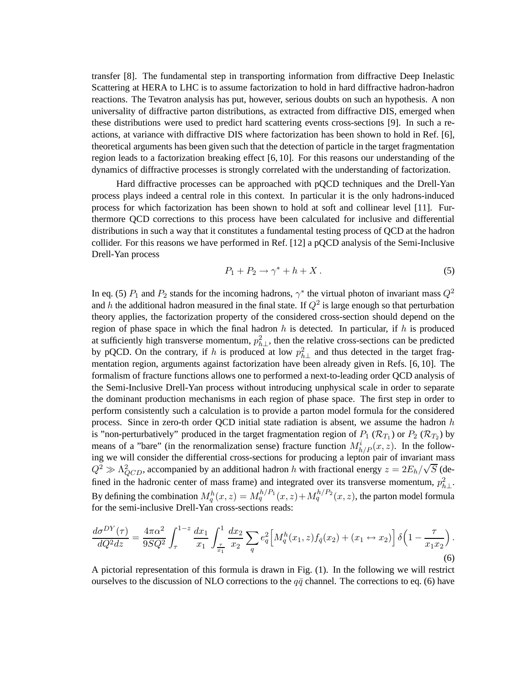transfer [8]. The fundamental step in transporting information from diffractive Deep Inelastic Scattering at HERA to LHC is to assume factorization to hold in hard diffractive hadron-hadron reactions. The Tevatron analysis has put, however, serious doubts on such an hypothesis. A non universality of diffractive parton distributions, as extracted from diffractive DIS, emerged when these distributions were used to predict hard scattering events cross-sections [9]. In such a reactions, at variance with diffractive DIS where factorization has been shown to hold in Ref. [6], theoretical arguments has been given such that the detection of particle in the target fragmentation region leads to a factorization breaking effect [6, 10]. For this reasons our understanding of the dynamics of diffractive processes is strongly correlated with the understanding of factorization.

Hard diffractive processes can be approached with pQCD techniques and the Drell-Yan process plays indeed a central role in this context. In particular it is the only hadrons-induced process for which factorization has been shown to hold at soft and collinear level [11]. Furthermore QCD corrections to this process have been calculated for inclusive and differential distributions in such a way that it constitutes a fundamental testing process of QCD at the hadron collider. For this reasons we have performed in Ref. [12] a pQCD analysis of the Semi-Inclusive Drell-Yan process

$$
P_1 + P_2 \to \gamma^* + h + X \,. \tag{5}
$$

In eq. (5)  $P_1$  and  $P_2$  stands for the incoming hadrons,  $\gamma^*$  the virtual photon of invariant mass  $Q^2$ and h the additional hadron measured in the final state. If  $Q^2$  is large enough so that perturbation theory applies, the factorization property of the considered cross-section should depend on the region of phase space in which the final hadron  $h$  is detected. In particular, if  $h$  is produced at sufficiently high transverse momentum,  $p_{h\perp}^2$ , then the relative cross-sections can be predicted by pQCD. On the contrary, if h is produced at low  $p_{h\perp}^2$  and thus detected in the target fragmentation region, arguments against factorization have been already given in Refs. [6, 10]. The formalism of fracture functions allows one to performed a next-to-leading order QCD analysis of the Semi-Inclusive Drell-Yan process without introducing unphysical scale in order to separate the dominant production mechanisms in each region of phase space. The first step in order to perform consistently such a calculation is to provide a parton model formula for the considered process. Since in zero-th order QCD initial state radiation is absent, we assume the hadron  $h$ is "non-perturbatively" produced in the target fragmentation region of  $P_1$  ( $\mathcal{R}_{T_1}$ ) or  $P_2$  ( $\mathcal{R}_{T_2}$ ) by means of a "bare" (in the renormalization sense) fracture function  $M_{h/P}^i(x, z)$ . In the following we will consider the differential cross-sections for producing a lepton pair of invariant mass  $Q^2 \gg \Lambda_{QCD}^2$ , accompanied by an additional hadron h with fractional energy  $z = 2E_h/\sqrt{S}$  (defined in the hadronic center of mass frame) and integrated over its transverse momentum,  $p_{h\perp}^2$ . By defining the combination  $M_q^h(x, z) = M_q^{h/P_1}(x, z) + M_q^{h/P_2}(x, z)$ , the parton model formula for the semi-inclusive Drell-Yan cross-sections reads:

$$
\frac{d\sigma^{DY}(\tau)}{dQ^2dz} = \frac{4\pi\alpha^2}{9SQ^2} \int_{\tau}^{1-z} \frac{dx_1}{x_1} \int_{\frac{\tau}{x_1}}^1 \frac{dx_2}{x_2} \sum_{q} e_q^2 \Big[ M_q^h(x_1, z) f_{\bar{q}}(x_2) + (x_1 \leftrightarrow x_2) \Big] \delta\Big(1 - \frac{\tau}{x_1 x_2}\Big). \tag{6}
$$

A pictorial representation of this formula is drawn in Fig. (1). In the following we will restrict ourselves to the discussion of NLO corrections to the  $q\bar{q}$  channel. The corrections to eq. (6) have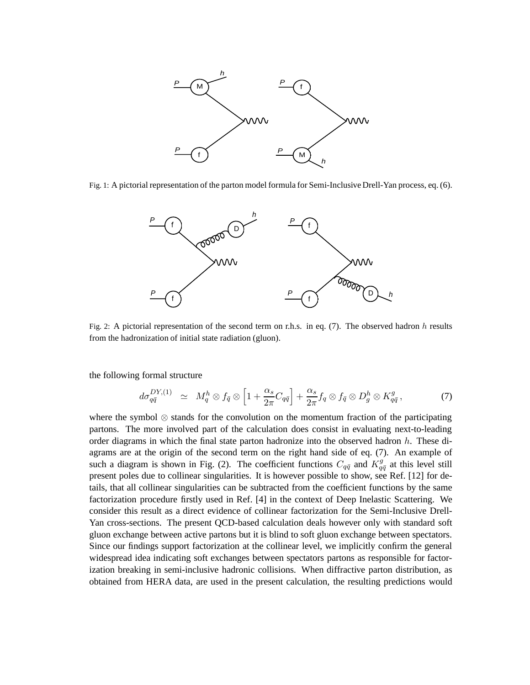

Fig. 1: A pictorial representation of the parton model formula for Semi-Inclusive Drell-Yan process, eq. (6).



Fig. 2: A pictorial representation of the second term on r.h.s. in eq. (7). The observed hadron h results from the hadronization of initial state radiation (gluon).

the following formal structure

$$
d\sigma_{q\bar{q}}^{DY,(1)} \simeq M_q^h \otimes f_{\bar{q}} \otimes \left[1 + \frac{\alpha_s}{2\pi} C_{q\bar{q}}\right] + \frac{\alpha_s}{2\pi} f_q \otimes f_{\bar{q}} \otimes D_g^h \otimes K_{q\bar{q}}^g,
$$
 (7)

where the symbol ⊗ stands for the convolution on the momentum fraction of the participating partons. The more involved part of the calculation does consist in evaluating next-to-leading order diagrams in which the final state parton hadronize into the observed hadron h. These diagrams are at the origin of the second term on the right hand side of eq. (7). An example of such a diagram is shown in Fig. (2). The coefficient functions  $C_{q\bar{q}}$  and  $K_{q\bar{q}}^g$  at this level still present poles due to collinear singularities. It is however possible to show, see Ref. [12] for details, that all collinear singularities can be subtracted from the coefficient functions by the same factorization procedure firstly used in Ref. [4] in the context of Deep Inelastic Scattering. We consider this result as a direct evidence of collinear factorization for the Semi-Inclusive Drell-Yan cross-sections. The present QCD-based calculation deals however only with standard soft gluon exchange between active partons but it is blind to soft gluon exchange between spectators. Since our findings support factorization at the collinear level, we implicitly confirm the general widespread idea indicating soft exchanges between spectators partons as responsible for factorization breaking in semi-inclusive hadronic collisions. When diffractive parton distribution, as obtained from HERA data, are used in the present calculation, the resulting predictions would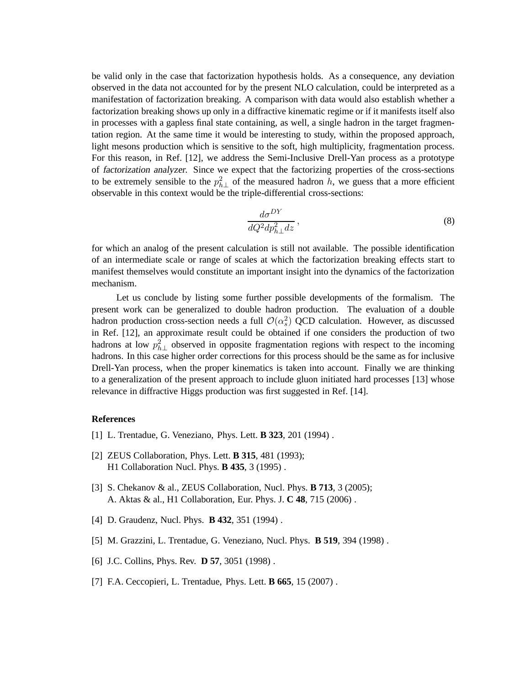be valid only in the case that factorization hypothesis holds. As a consequence, any deviation observed in the data not accounted for by the present NLO calculation, could be interpreted as a manifestation of factorization breaking. A comparison with data would also establish whether a factorization breaking shows up only in a diffractive kinematic regime or if it manifests itself also in processes with a gapless final state containing, as well, a single hadron in the target fragmentation region. At the same time it would be interesting to study, within the proposed approach, light mesons production which is sensitive to the soft, high multiplicity, fragmentation process. For this reason, in Ref. [12], we address the Semi-Inclusive Drell-Yan process as a prototype of factorization analyzer. Since we expect that the factorizing properties of the cross-sections to be extremely sensible to the  $p_{h\perp}^2$  of the measured hadron h, we guess that a more efficient observable in this context would be the triple-differential cross-sections:

$$
\frac{d\sigma^{DY}}{dQ^2dp_{h\perp}^2dz},\tag{8}
$$

for which an analog of the present calculation is still not available. The possible identification of an intermediate scale or range of scales at which the factorization breaking effects start to manifest themselves would constitute an important insight into the dynamics of the factorization mechanism.

Let us conclude by listing some further possible developments of the formalism. The present work can be generalized to double hadron production. The evaluation of a double hadron production cross-section needs a full  $\mathcal{O}(\alpha_s^2)$  QCD calculation. However, as discussed in Ref. [12], an approximate result could be obtained if one considers the production of two hadrons at low  $p_{h\perp}^2$  observed in opposite fragmentation regions with respect to the incoming hadrons. In this case higher order corrections for this process should be the same as for inclusive Drell-Yan process, when the proper kinematics is taken into account. Finally we are thinking to a generalization of the present approach to include gluon initiated hard processes [13] whose relevance in diffractive Higgs production was first suggested in Ref. [14].

## **References**

- [1] L. Trentadue, G. Veneziano, Phys. Lett. **B 323**, 201 (1994) .
- [2] ZEUS Collaboration, Phys. Lett. **B 315**, 481 (1993); H1 Collaboration Nucl. Phys. **B 435**, 3 (1995) .
- [3] S. Chekanov & al., ZEUS Collaboration, Nucl. Phys. **B 713**, 3 (2005); A. Aktas & al., H1 Collaboration, Eur. Phys. J. **C 48**, 715 (2006) .
- [4] D. Graudenz, Nucl. Phys. **B 432**, 351 (1994) .
- [5] M. Grazzini, L. Trentadue, G. Veneziano, Nucl. Phys. **B 519**, 394 (1998) .
- [6] J.C. Collins, Phys. Rev. **D 57**, 3051 (1998) .
- [7] F.A. Ceccopieri, L. Trentadue, Phys. Lett. **B 665**, 15 (2007) .